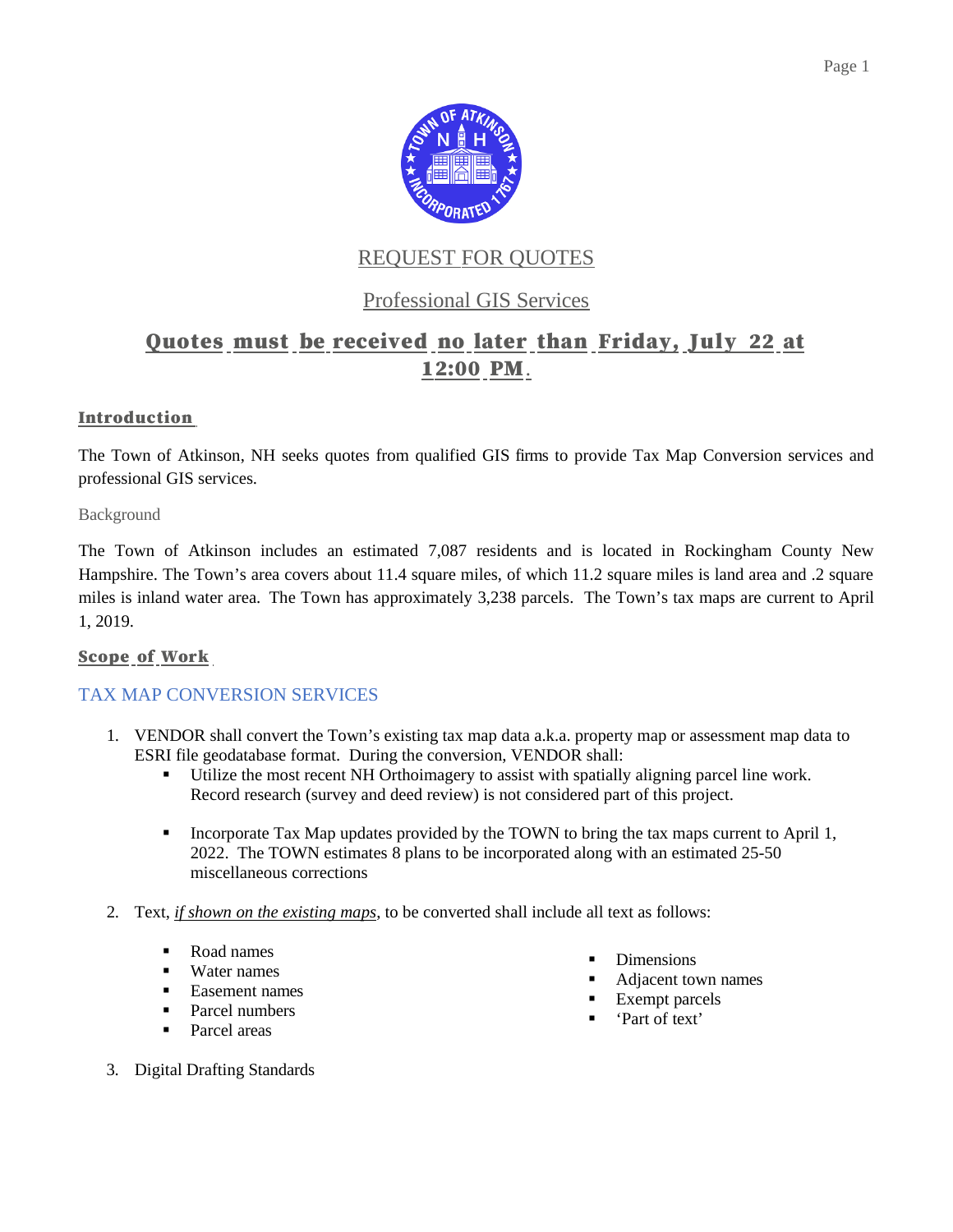

# REQUEST FOR QUOTES

# Professional GIS Services

# Quotes must be received no later than Friday, July 22 at 12:00 PM.

## **Introduction**

The Town of Atkinson, NH seeks quotes from qualified GIS firms to provide Tax Map Conversion services and professional GIS services.

### Background

The Town of Atkinson includes an estimated 7,087 residents and is located in Rockingham County New Hampshire. The Town's area covers about 11.4 square miles, of which 11.2 square miles is land area and .2 square miles is inland water area. The Town has approximately 3,238 parcels. The Town's tax maps are current to April 1, 2019.

### Scope of Work

## TAX MAP CONVERSION SERVICES

- 1. VENDOR shall convert the Town's existing tax map data a.k.a. property map or assessment map data to ESRI file geodatabase format. During the conversion, VENDOR shall:
	- Utilize the most recent NH Orthoimagery to assist with spatially aligning parcel line work. Record research (survey and deed review) is not considered part of this project.
	- Incorporate Tax Map updates provided by the TOWN to bring the tax maps current to April 1, 2022. The TOWN estimates 8 plans to be incorporated along with an estimated 25-50 miscellaneous corrections
- 2. Text, *if shown on the existing maps*, to be converted shall include all text as follows:
	- Road names
	- **Water names**
	- Easement names
	- **Parcel numbers**
	- **Parcel areas**
- Dimensions
- Adjacent town names
- Exempt parcels
- 'Part of text'

3. Digital Drafting Standards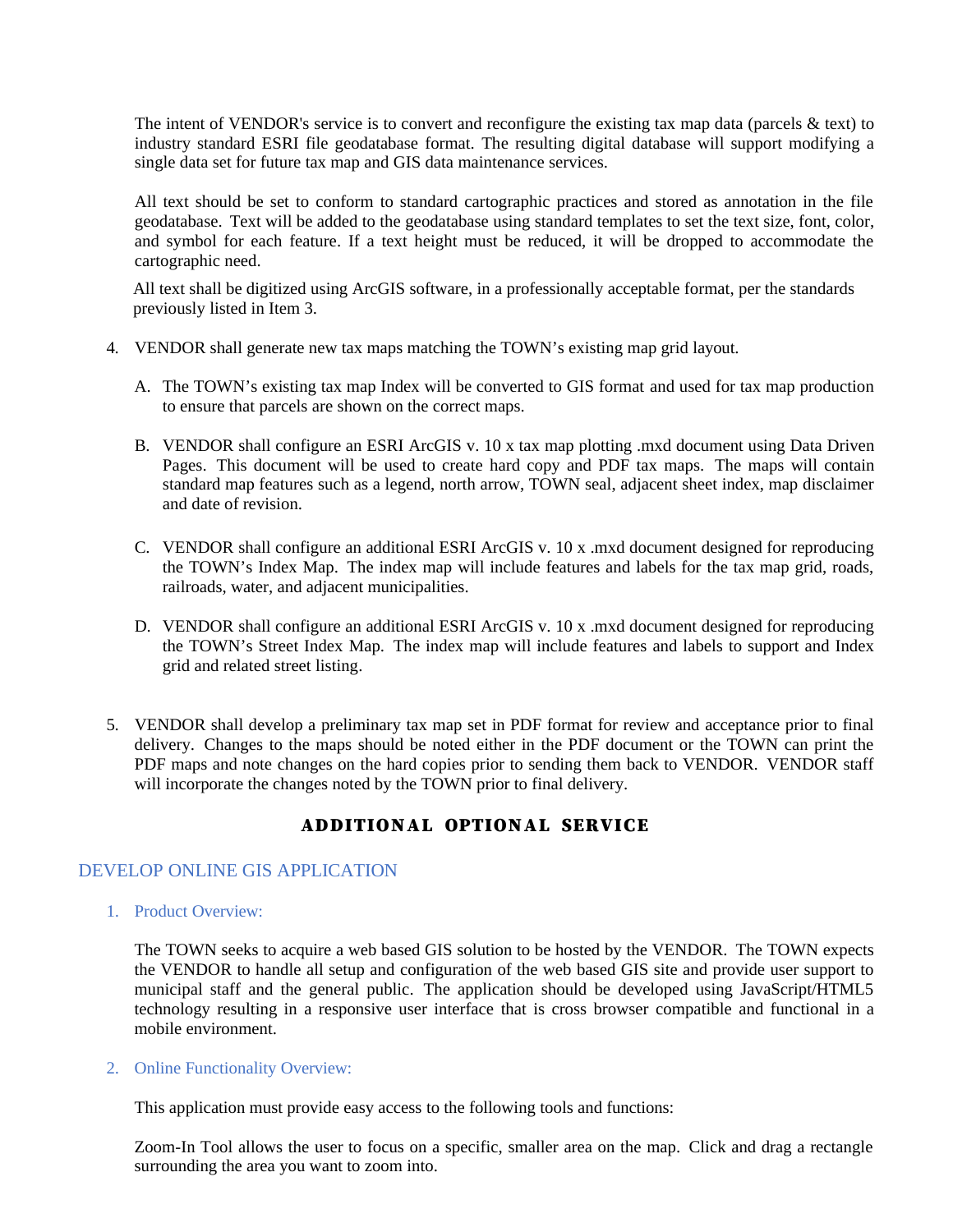The intent of VENDOR's service is to convert and reconfigure the existing tax map data (parcels & text) to industry standard ESRI file geodatabase format. The resulting digital database will support modifying a single data set for future tax map and GIS data maintenance services.

All text should be set to conform to standard cartographic practices and stored as annotation in the file geodatabase. Text will be added to the geodatabase using standard templates to set the text size, font, color, and symbol for each feature. If a text height must be reduced, it will be dropped to accommodate the cartographic need.

All text shall be digitized using ArcGIS software, in a professionally acceptable format, per the standards previously listed in Item 3.

- 4. VENDOR shall generate new tax maps matching the TOWN's existing map grid layout.
	- A. The TOWN's existing tax map Index will be converted to GIS format and used for tax map production to ensure that parcels are shown on the correct maps.
	- B. VENDOR shall configure an ESRI ArcGIS v. 10 x tax map plotting .mxd document using Data Driven Pages. This document will be used to create hard copy and PDF tax maps. The maps will contain standard map features such as a legend, north arrow, TOWN seal, adjacent sheet index, map disclaimer and date of revision.
	- C. VENDOR shall configure an additional ESRI ArcGIS v. 10 x .mxd document designed for reproducing the TOWN's Index Map. The index map will include features and labels for the tax map grid, roads, railroads, water, and adjacent municipalities.
	- D. VENDOR shall configure an additional ESRI ArcGIS v. 10 x .mxd document designed for reproducing the TOWN's Street Index Map. The index map will include features and labels to support and Index grid and related street listing.
- 5. VENDOR shall develop a preliminary tax map set in PDF format for review and acceptance prior to final delivery. Changes to the maps should be noted either in the PDF document or the TOWN can print the PDF maps and note changes on the hard copies prior to sending them back to VENDOR. VENDOR staff will incorporate the changes noted by the TOWN prior to final delivery.

## ADDITIONAL OPTIONAL SERVICE

### DEVELOP ONLINE GIS APPLICATION

1. Product Overview:

The TOWN seeks to acquire a web based GIS solution to be hosted by the VENDOR. The TOWN expects the VENDOR to handle all setup and configuration of the web based GIS site and provide user support to municipal staff and the general public. The application should be developed using JavaScript/HTML5 technology resulting in a responsive user interface that is cross browser compatible and functional in a mobile environment.

#### 2. Online Functionality Overview:

This application must provide easy access to the following tools and functions:

Zoom-In Tool allows the user to focus on a specific, smaller area on the map. Click and drag a rectangle surrounding the area you want to zoom into.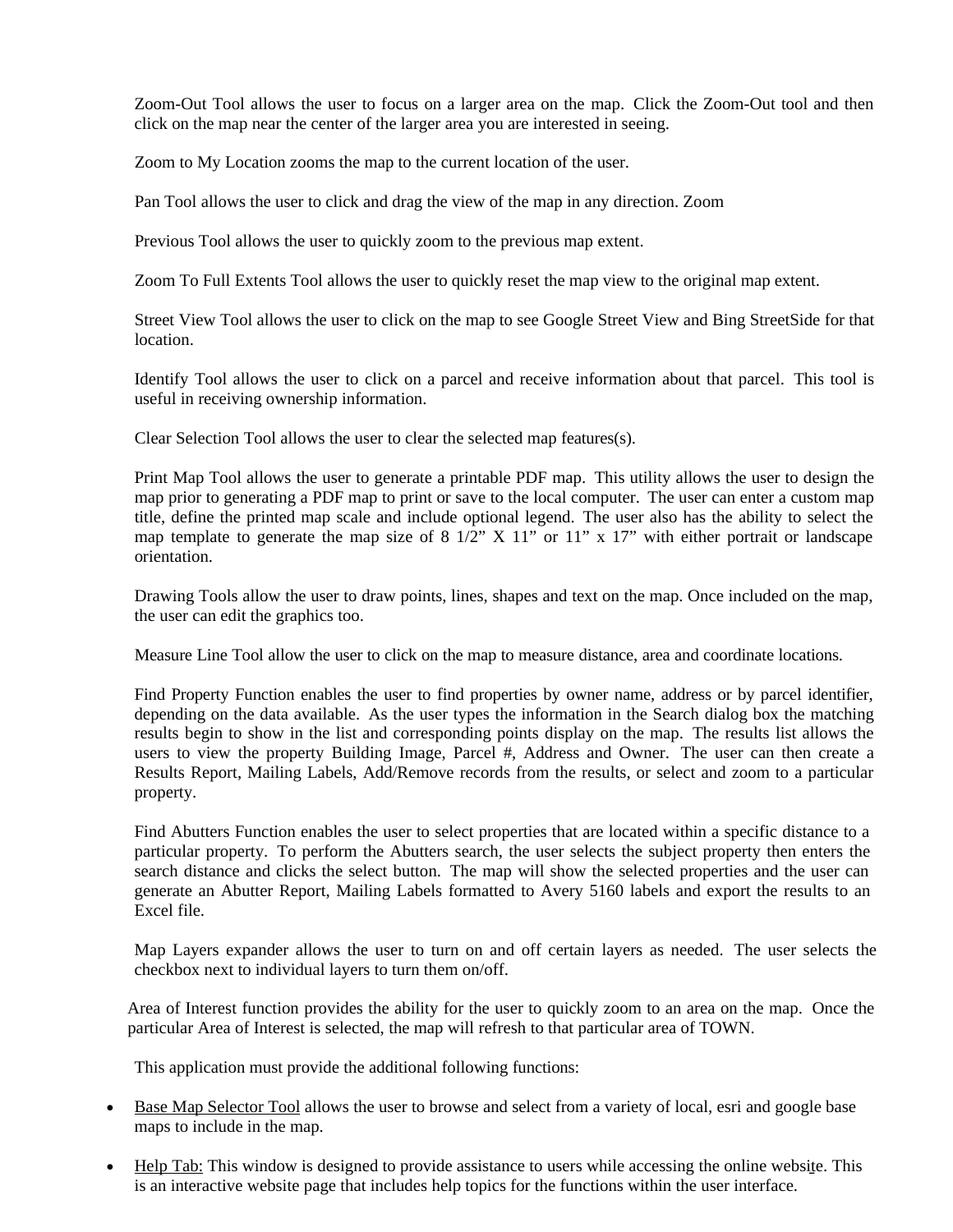Zoom-Out Tool allows the user to focus on a larger area on the map. Click the Zoom-Out tool and then click on the map near the center of the larger area you are interested in seeing.

Zoom to My Location zooms the map to the current location of the user.

Pan Tool allows the user to click and drag the view of the map in any direction. Zoom

Previous Tool allows the user to quickly zoom to the previous map extent.

Zoom To Full Extents Tool allows the user to quickly reset the map view to the original map extent.

Street View Tool allows the user to click on the map to see Google Street View and Bing StreetSide for that location.

Identify Tool allows the user to click on a parcel and receive information about that parcel. This tool is useful in receiving ownership information.

Clear Selection Tool allows the user to clear the selected map features(s).

Print Map Tool allows the user to generate a printable PDF map. This utility allows the user to design the map prior to generating a PDF map to print or save to the local computer. The user can enter a custom map title, define the printed map scale and include optional legend. The user also has the ability to select the map template to generate the map size of 8  $1/2$ " X  $11$ " or  $11$ " x  $17$ " with either portrait or landscape orientation.

Drawing Tools allow the user to draw points, lines, shapes and text on the map. Once included on the map, the user can edit the graphics too.

Measure Line Tool allow the user to click on the map to measure distance, area and coordinate locations.

Find Property Function enables the user to find properties by owner name, address or by parcel identifier, depending on the data available. As the user types the information in the Search dialog box the matching results begin to show in the list and corresponding points display on the map. The results list allows the users to view the property Building Image, Parcel #, Address and Owner. The user can then create a Results Report, Mailing Labels, Add/Remove records from the results, or select and zoom to a particular property.

Find Abutters Function enables the user to select properties that are located within a specific distance to a particular property. To perform the Abutters search, the user selects the subject property then enters the search distance and clicks the select button. The map will show the selected properties and the user can generate an Abutter Report, Mailing Labels formatted to Avery 5160 labels and export the results to an Excel file.

Map Layers expander allows the user to turn on and off certain layers as needed. The user selects the checkbox next to individual layers to turn them on/off.

Area of Interest function provides the ability for the user to quickly zoom to an area on the map. Once the particular Area of Interest is selected, the map will refresh to that particular area of TOWN.

This application must provide the additional following functions:

- Base Map Selector Tool allows the user to browse and select from a variety of local, esri and google base maps to include in the map.
- Help Tab: This window is designed to provide assistance to users while accessing the online website. This is an interactive website page that includes help topics for the functions within the user interface.